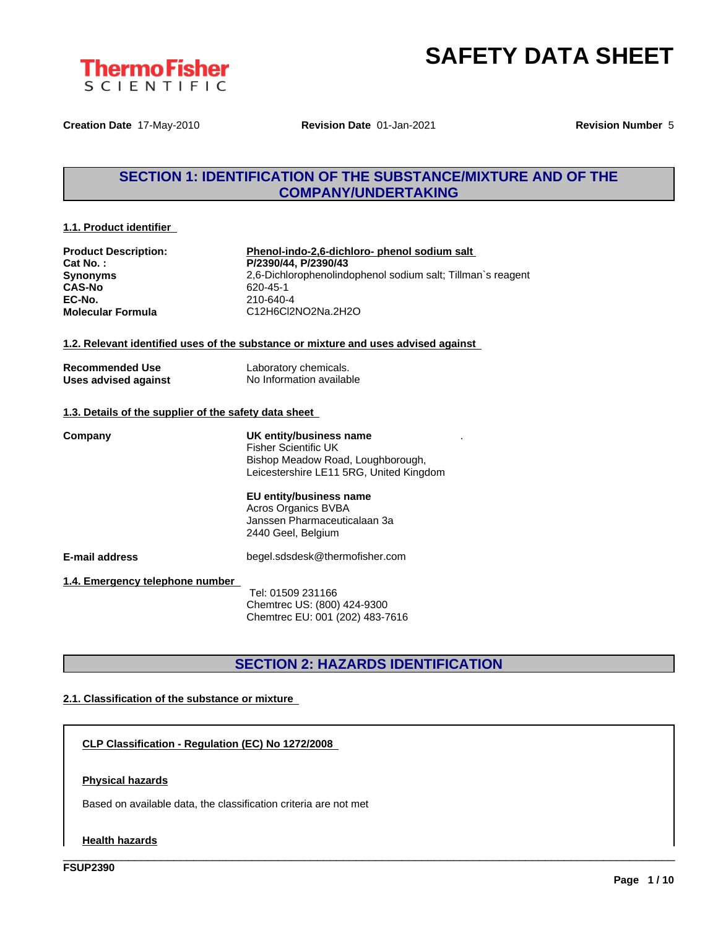

**Creation Date** 17-May-2010 **Revision Date** 01-Jan-2021 **Revision Number** 5

## **SECTION 1: IDENTIFICATION OF THE SUBSTANCE/MIXTURE AND OF THE COMPANY/UNDERTAKING**

#### **1.1. Product identifier**

| <b>Product Description:</b> |
|-----------------------------|
| Cat No.:                    |
| <b>Synonyms</b>             |
| <b>CAS-No</b>               |
| EC-No.                      |
| <b>Molecular Formula</b>    |

**Phenol-indo-2,6-dichloro-** phenol sodium salt **Cat No. : P/2390/44, P/2390/43 Synonyms** 2,6-Dichlorophenolindophenol sodium salt; Tillman`s reagent **CAS-No** 620-45-1 **EC-No.** 210-640-4 **Molecular Formula** C12H6Cl2NO2Na.2H2O

.

#### **1.2. Relevant identified uses of the substance or mixture and uses advised against**

| Recommended Use      |  |
|----------------------|--|
| Uses advised against |  |

Laboratory chemicals. **No Information available** 

#### **1.3. Details of the supplier of the safety data sheet**

**Company UK entity/business name** Fisher Scientific UK Bishop Meadow Road, Loughborough, Leicestershire LE11 5RG, United Kingdom

### **EU entity/business name** Acros Organics BVBA

Janssen Pharmaceuticalaan 3a 2440 Geel, Belgium

**E-mail address** begel.sdsdesk@thermofisher.com

**1.4. Emergency telephone number**

Tel: 01509 231166 Chemtrec US: (800) 424-9300 Chemtrec EU: 001 (202) 483-7616

## **SECTION 2: HAZARDS IDENTIFICATION**

\_\_\_\_\_\_\_\_\_\_\_\_\_\_\_\_\_\_\_\_\_\_\_\_\_\_\_\_\_\_\_\_\_\_\_\_\_\_\_\_\_\_\_\_\_\_\_\_\_\_\_\_\_\_\_\_\_\_\_\_\_\_\_\_\_\_\_\_\_\_\_\_\_\_\_\_\_\_\_\_\_\_\_\_\_\_\_\_\_\_\_\_\_\_

### **2.1. Classification of the substance or mixture**

**CLP Classification - Regulation (EC) No 1272/2008**

#### **Physical hazards**

Based on available data, the classification criteria are not met

#### **Health hazards**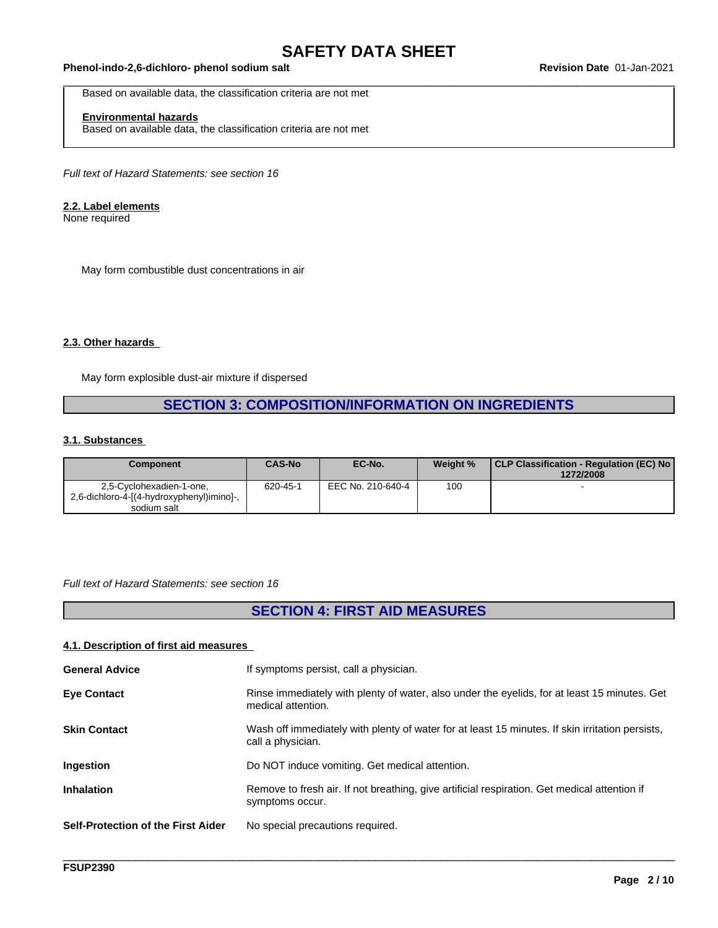#### \_\_\_\_\_\_\_\_\_\_\_\_\_\_\_\_\_\_\_\_\_\_\_\_\_\_\_\_\_\_\_\_\_\_\_\_\_\_\_\_\_\_\_\_\_\_\_\_\_\_\_\_\_\_\_\_\_\_\_\_\_\_\_\_\_\_\_\_\_\_\_\_\_\_\_\_\_\_\_\_\_\_\_\_\_\_\_\_\_\_\_\_\_\_ **Phenol-indo-2,6-dichloro- phenol sodium salt Revision Date** 01-Jan-2021

Based on available data, the classification criteria are not met

### **Environmental hazards**

Based on available data, the classification criteria are not met

*Full text of Hazard Statements: see section 16*

#### **2.2. Label elements**

None required

May form combustible dust concentrations in air

#### **2.3. Other hazards**

May form explosible dust-air mixture if dispersed

## **SECTION 3: COMPOSITION/INFORMATION ON INGREDIENTS**

#### **3.1. Substances**

| Component                                 | <b>CAS-No</b> | EC-No.            | Weight % | CLP Classification - Regulation (EC) No<br>1272/2008 |
|-------------------------------------------|---------------|-------------------|----------|------------------------------------------------------|
| 2.5-Cyclohexadien-1-one.                  | 620-45-1      | EEC No. 210-640-4 | 100      |                                                      |
| 2,6-dichloro-4-[(4-hydroxyphenyl)imino]-, |               |                   |          |                                                      |
| sodium salt                               |               |                   |          |                                                      |

#### *Full text of Hazard Statements: see section 16*

## **SECTION 4: FIRST AID MEASURES**

#### **4.1. Description of first aid measures**

| <b>General Advice</b>              | If symptoms persist, call a physician.                                                                               |
|------------------------------------|----------------------------------------------------------------------------------------------------------------------|
| <b>Eye Contact</b>                 | Rinse immediately with plenty of water, also under the eyelids, for at least 15 minutes. Get<br>medical attention.   |
| <b>Skin Contact</b>                | Wash off immediately with plenty of water for at least 15 minutes. If skin irritation persists,<br>call a physician. |
| Ingestion                          | Do NOT induce vomiting. Get medical attention.                                                                       |
| <b>Inhalation</b>                  | Remove to fresh air. If not breathing, give artificial respiration. Get medical attention if<br>symptoms occur.      |
| Self-Protection of the First Aider | No special precautions required.                                                                                     |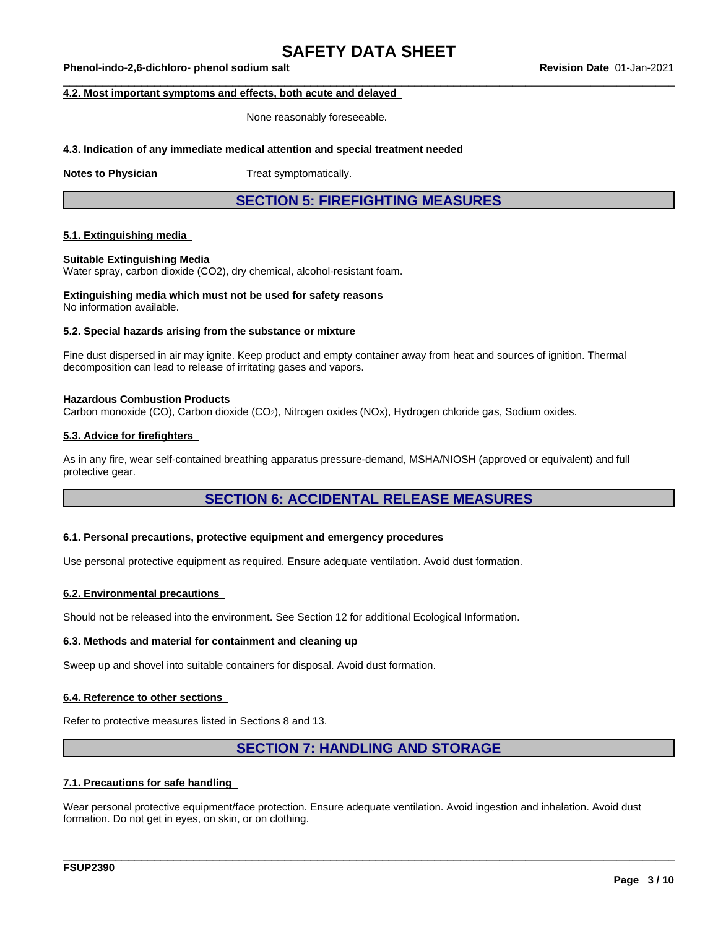\_\_\_\_\_\_\_\_\_\_\_\_\_\_\_\_\_\_\_\_\_\_\_\_\_\_\_\_\_\_\_\_\_\_\_\_\_\_\_\_\_\_\_\_\_\_\_\_\_\_\_\_\_\_\_\_\_\_\_\_\_\_\_\_\_\_\_\_\_\_\_\_\_\_\_\_\_\_\_\_\_\_\_\_\_\_\_\_\_\_\_\_\_\_ **Phenol-indo-2,6-dichloro- phenol sodium salt Revision Date** 01-Jan-2021

#### **4.2. Most important symptoms and effects, both acute and delayed**

None reasonably foreseeable.

#### **4.3. Indication of any immediate medical attention and special treatment needed**

**Notes to Physician** Treat symptomatically.

**SECTION 5: FIREFIGHTING MEASURES**

#### **5.1. Extinguishing media**

#### **Suitable Extinguishing Media**

Water spray, carbon dioxide (CO2), dry chemical, alcohol-resistant foam.

**Extinguishing media which must not be used for safety reasons** No information available.

#### **5.2. Special hazards arising from the substance or mixture**

Fine dust dispersed in air may ignite. Keep product and empty container away from heat and sources of ignition. Thermal decomposition can lead to release of irritating gases and vapors.

#### **Hazardous Combustion Products**

Carbon monoxide (CO), Carbon dioxide (CO2), Nitrogen oxides (NOx), Hydrogen chloride gas, Sodium oxides.

#### **5.3. Advice for firefighters**

As in any fire, wear self-contained breathing apparatus pressure-demand, MSHA/NIOSH (approved or equivalent) and full protective gear.

### **SECTION 6: ACCIDENTAL RELEASE MEASURES**

#### **6.1. Personal precautions, protective equipment and emergency procedures**

Use personal protective equipment as required.Ensure adequate ventilation. Avoid dust formation.

#### **6.2. Environmental precautions**

Should not be released into the environment. See Section 12 for additional Ecological Information.

#### **6.3. Methods and material for containment and cleaning up**

Sweep up and shovel into suitable containers for disposal. Avoid dust formation.

#### **6.4. Reference to other sections**

Refer to protective measures listed in Sections 8 and 13.

### **SECTION 7: HANDLING AND STORAGE**

\_\_\_\_\_\_\_\_\_\_\_\_\_\_\_\_\_\_\_\_\_\_\_\_\_\_\_\_\_\_\_\_\_\_\_\_\_\_\_\_\_\_\_\_\_\_\_\_\_\_\_\_\_\_\_\_\_\_\_\_\_\_\_\_\_\_\_\_\_\_\_\_\_\_\_\_\_\_\_\_\_\_\_\_\_\_\_\_\_\_\_\_\_\_

#### **7.1. Precautions for safe handling**

Wear personal protective equipment/face protection. Ensure adequate ventilation. Avoid ingestion and inhalation. Avoid dust formation. Do not get in eyes, on skin, or on clothing.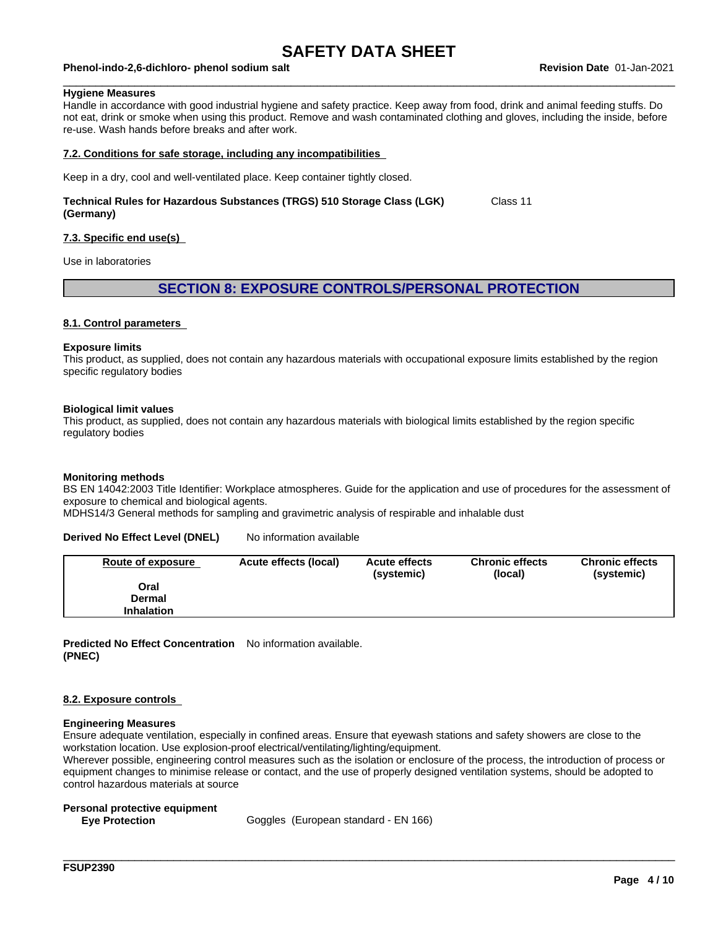#### \_\_\_\_\_\_\_\_\_\_\_\_\_\_\_\_\_\_\_\_\_\_\_\_\_\_\_\_\_\_\_\_\_\_\_\_\_\_\_\_\_\_\_\_\_\_\_\_\_\_\_\_\_\_\_\_\_\_\_\_\_\_\_\_\_\_\_\_\_\_\_\_\_\_\_\_\_\_\_\_\_\_\_\_\_\_\_\_\_\_\_\_\_\_ **Phenol-indo-2,6-dichloro- phenol sodium salt Revision Date** 01-Jan-2021

#### **Hygiene Measures**

Handle in accordance with good industrial hygiene and safety practice. Keep away from food, drink and animal feeding stuffs. Do not eat, drink or smoke when using this product. Remove and wash contaminated clothing and gloves, including the inside, before re-use. Wash hands before breaks and after work.

#### **7.2. Conditions for safe storage, including any incompatibilities**

Keep in a dry, cool and well-ventilated place. Keep container tightly closed.

#### **Technical Rules for Hazardous Substances (TRGS) 510 Storage Class (LGK) (Germany)** Class 11

#### **7.3. Specific end use(s)**

Use in laboratories

### **SECTION 8: EXPOSURE CONTROLS/PERSONAL PROTECTION**

#### **8.1. Control parameters**

#### **Exposure limits**

This product, as supplied, does not contain any hazardous materials with occupational exposure limits established by the region specific regulatory bodies

#### **Biological limit values**

This product, as supplied, does not contain any hazardous materials with biological limits established by the region specific regulatory bodies

#### **Monitoring methods**

BS EN 14042:2003 Title Identifier: Workplace atmospheres. Guide for the application and use of procedures for the assessment of exposure to chemical and biological agents.

MDHS14/3 General methods for sampling and gravimetric analysis of respirable and inhalable dust

#### **Derived No Effect Level (DNEL)** No information available

| <b>Route of exposure</b> | Acute effects (local) | <b>Acute effects</b><br>(systemic) | <b>Chronic effects</b><br>(local) | <b>Chronic effects</b><br>(systemic) |
|--------------------------|-----------------------|------------------------------------|-----------------------------------|--------------------------------------|
| Oral                     |                       |                                    |                                   |                                      |
| Dermal                   |                       |                                    |                                   |                                      |
| <b>Inhalation</b>        |                       |                                    |                                   |                                      |

**Predicted No Effect Concentration** No information available. **(PNEC)**

#### **8.2. Exposure controls**

#### **Engineering Measures**

Ensure adequate ventilation, especially in confined areas. Ensure that eyewash stations and safety showers are close to the workstation location. Use explosion-proof electrical/ventilating/lighting/equipment.

Wherever possible, engineering control measures such as the isolation or enclosure of the process, the introduction of process or equipment changes to minimise release or contact, and the use of properly designed ventilation systems, should be adopted to control hazardous materials at source

\_\_\_\_\_\_\_\_\_\_\_\_\_\_\_\_\_\_\_\_\_\_\_\_\_\_\_\_\_\_\_\_\_\_\_\_\_\_\_\_\_\_\_\_\_\_\_\_\_\_\_\_\_\_\_\_\_\_\_\_\_\_\_\_\_\_\_\_\_\_\_\_\_\_\_\_\_\_\_\_\_\_\_\_\_\_\_\_\_\_\_\_\_\_

#### **Personal protective equipment**

**Eve Protection Eve Protection Goggles** (European standard - EN 166)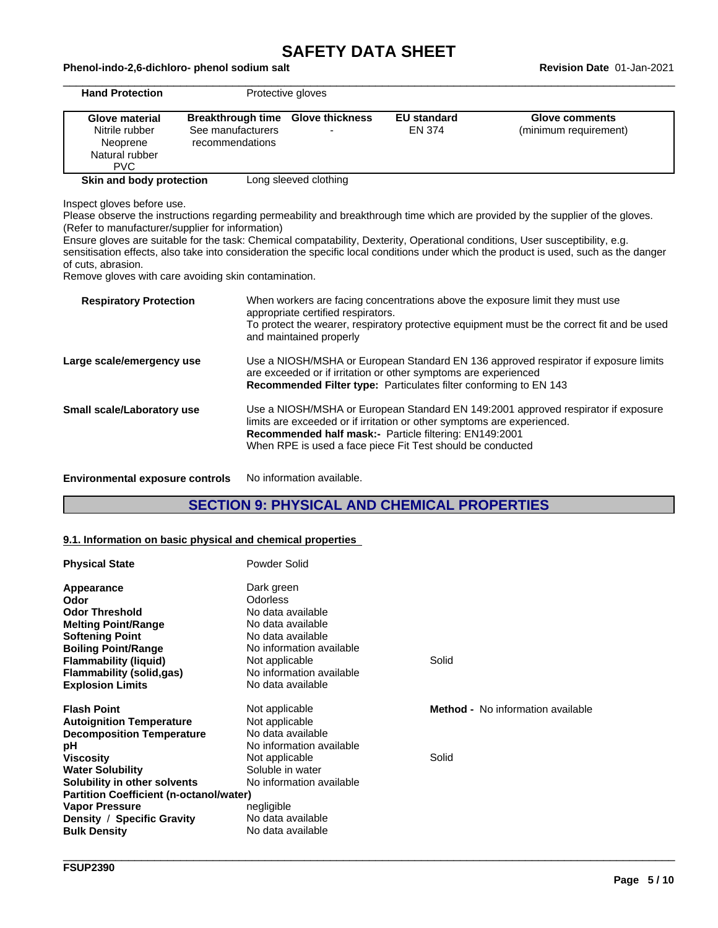#### \_\_\_\_\_\_\_\_\_\_\_\_\_\_\_\_\_\_\_\_\_\_\_\_\_\_\_\_\_\_\_\_\_\_\_\_\_\_\_\_\_\_\_\_\_\_\_\_\_\_\_\_\_\_\_\_\_\_\_\_\_\_\_\_\_\_\_\_\_\_\_\_\_\_\_\_\_\_\_\_\_\_\_\_\_\_\_\_\_\_\_\_\_\_ **Phenol-indo-2,6-dichloro- phenol sodium salt Revision Date** 01-Jan-2021

| <b>Hand Protection</b>                                                        |                                                                  | Protective gloves           |                              |                                         |
|-------------------------------------------------------------------------------|------------------------------------------------------------------|-----------------------------|------------------------------|-----------------------------------------|
| <b>Glove material</b><br>Nitrile rubber<br>Neoprene<br>Natural rubber<br>PVC. | <b>Breakthrough time</b><br>See manufacturers<br>recommendations | <b>Glove thickness</b><br>- | <b>EU</b> standard<br>EN 374 | Glove comments<br>(minimum requirement) |
| Skin and body protection                                                      |                                                                  | Long sleeved clothing       |                              |                                         |

Inspect gloves before use.

Please observe the instructions regarding permeability and breakthrough time which are provided by the supplier of the gloves. (Refer to manufacturer/supplier for information)

Ensure gloves are suitable for the task: Chemical compatability, Dexterity, Operational conditions, User susceptibility, e.g. sensitisation effects, also take into consideration the specific local conditions under which the product is used, such as the danger of cuts, abrasion.

Remove gloves with care avoiding skin contamination.

| <b>Respiratory Protection</b> | When workers are facing concentrations above the exposure limit they must use<br>appropriate certified respirators.<br>To protect the wearer, respiratory protective equipment must be the correct fit and be used<br>and maintained properly                                        |
|-------------------------------|--------------------------------------------------------------------------------------------------------------------------------------------------------------------------------------------------------------------------------------------------------------------------------------|
| Large scale/emergency use     | Use a NIOSH/MSHA or European Standard EN 136 approved respirator if exposure limits<br>are exceeded or if irritation or other symptoms are experienced<br><b>Recommended Filter type:</b> Particulates filter conforming to EN 143                                                   |
| Small scale/Laboratory use    | Use a NIOSH/MSHA or European Standard EN 149:2001 approved respirator if exposure<br>limits are exceeded or if irritation or other symptoms are experienced.<br>Recommended half mask:- Particle filtering: EN149:2001<br>When RPE is used a face piece Fit Test should be conducted |
|                               |                                                                                                                                                                                                                                                                                      |

**Environmental exposure controls** No information available.

### **SECTION 9: PHYSICAL AND CHEMICAL PROPERTIES**

#### **9.1. Information on basic physical and chemical properties**

| <b>Physical State</b>                          | Powder Solid             |                                          |
|------------------------------------------------|--------------------------|------------------------------------------|
| Appearance                                     | Dark green               |                                          |
| Odor                                           | <b>Odorless</b>          |                                          |
| <b>Odor Threshold</b>                          | No data available        |                                          |
| <b>Melting Point/Range</b>                     | No data available        |                                          |
| <b>Softening Point</b>                         | No data available        |                                          |
| <b>Boiling Point/Range</b>                     | No information available |                                          |
| <b>Flammability (liquid)</b>                   | Not applicable           | Solid                                    |
| <b>Flammability (solid,gas)</b>                | No information available |                                          |
| <b>Explosion Limits</b>                        | No data available        |                                          |
| <b>Flash Point</b>                             | Not applicable           | <b>Method -</b> No information available |
| <b>Autoignition Temperature</b>                | Not applicable           |                                          |
| <b>Decomposition Temperature</b>               | No data available        |                                          |
| рH                                             | No information available |                                          |
| <b>Viscosity</b>                               | Not applicable           | Solid                                    |
| <b>Water Solubility</b>                        | Soluble in water         |                                          |
| Solubility in other solvents                   | No information available |                                          |
| <b>Partition Coefficient (n-octanol/water)</b> |                          |                                          |
| <b>Vapor Pressure</b>                          | negligible               |                                          |
| Density / Specific Gravity                     | No data available        |                                          |
| <b>Bulk Density</b>                            | No data available        |                                          |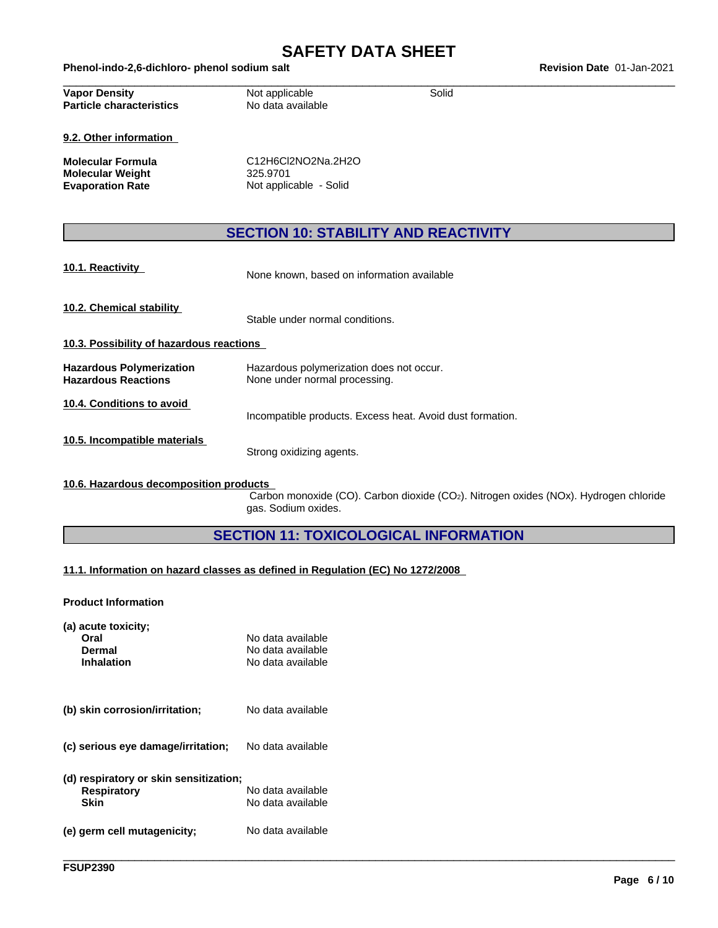| Phenol-indo-2,6-dichloro-<br>- phenol sodium salt | 01-Jan-2021<br>Date<br><b>Revision</b> |
|---------------------------------------------------|----------------------------------------|
|                                                   |                                        |

| <b>Vapor Density</b>            | Not applicable    | Solid |  |
|---------------------------------|-------------------|-------|--|
| <b>Particle characteristics</b> | No data available |       |  |
|                                 |                   |       |  |

**9.2. Other information**

**Molecular Weight<br>Evaporation Rate** 

**Molecular Formula** C12H6Cl2NO2Na.2H2O<br> **Molecular Weight** 325.9701 **Not applicable - Solid** 

## **SECTION 10: STABILITY AND REACTIVITY**

**10.1. Reactivity** None known, based on information available

**10.2. Chemical stability**

Stable under normal conditions.

- **10.3. Possibility of hazardous reactions**
- **Hazardous Polymerization** Hazardous polymerization does not occur.<br> **Hazardous Reactions** Mone under normal processing. None under normal processing.

**10.4. Conditions to avoid**

Incompatible products. Excess heat. Avoid dust formation.

**10.5. Incompatible materials**

Strong oxidizing agents.

#### **10.6. Hazardous decomposition products**

Carbon monoxide (CO). Carbon dioxide (CO2). Nitrogen oxides (NOx). Hydrogen chloride gas. Sodium oxides.

\_\_\_\_\_\_\_\_\_\_\_\_\_\_\_\_\_\_\_\_\_\_\_\_\_\_\_\_\_\_\_\_\_\_\_\_\_\_\_\_\_\_\_\_\_\_\_\_\_\_\_\_\_\_\_\_\_\_\_\_\_\_\_\_\_\_\_\_\_\_\_\_\_\_\_\_\_\_\_\_\_\_\_\_\_\_\_\_\_\_\_\_\_\_

## **SECTION 11: TOXICOLOGICAL INFORMATION**

#### **11.1. Information on hazard classes as defined in Regulation (EC) No 1272/2008**

**Product Information**

| (a) acute toxicity;<br>Oral<br>Dermal<br><b>Inhalation</b> | No data available<br>No data available<br>No data available |  |
|------------------------------------------------------------|-------------------------------------------------------------|--|
| (b) skin corrosion/irritation;                             | No data available                                           |  |
| (c) serious eye damage/irritation;                         | No data available                                           |  |

| (d) respiratory or skin sensitization;<br><b>Respiratory</b><br>Skin | No data available<br>No data available |
|----------------------------------------------------------------------|----------------------------------------|
| (e) germ cell mutagenicity;                                          | No data available                      |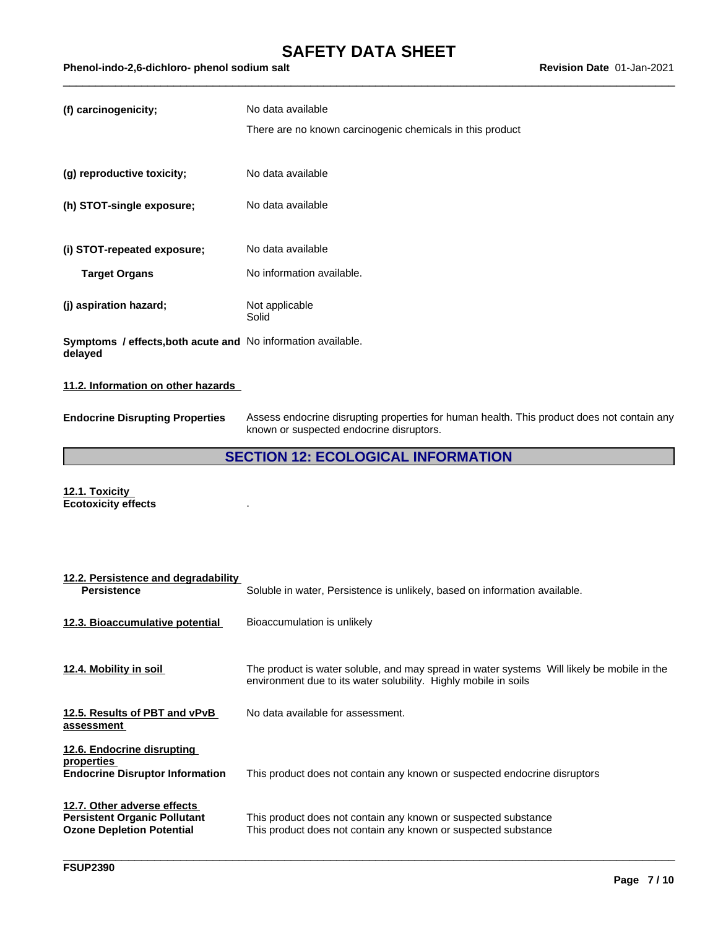| (f) carcinogenicity;                                                           | No data available                                         |
|--------------------------------------------------------------------------------|-----------------------------------------------------------|
|                                                                                | There are no known carcinogenic chemicals in this product |
|                                                                                |                                                           |
| (g) reproductive toxicity;                                                     | No data available                                         |
| (h) STOT-single exposure;                                                      | No data available                                         |
|                                                                                |                                                           |
| (i) STOT-repeated exposure;                                                    | No data available                                         |
| <b>Target Organs</b>                                                           | No information available.                                 |
| (j) aspiration hazard;                                                         | Not applicable<br>Solid                                   |
| <b>Symptoms / effects, both acute and No information available.</b><br>delayed |                                                           |
| 11.2. Information on other hazards                                             |                                                           |

**Endocrine Disrupting Properties** Assess endocrine disrupting properties for human health. This product does not contain any known or suspected endocrine disruptors.

## **SECTION 12: ECOLOGICAL INFORMATION**

**12.1. Toxicity Ecotoxicity effects** .

| 12.2. Persistence and degradability<br><b>Persistence</b>                                              | Soluble in water, Persistence is unlikely, based on information available.                                                                                    |
|--------------------------------------------------------------------------------------------------------|---------------------------------------------------------------------------------------------------------------------------------------------------------------|
| 12.3. Bioaccumulative potential                                                                        | Bioaccumulation is unlikely                                                                                                                                   |
| 12.4. Mobility in soil                                                                                 | The product is water soluble, and may spread in water systems Will likely be mobile in the<br>environment due to its water solubility. Highly mobile in soils |
| 12.5. Results of PBT and vPvB<br>assessment                                                            | No data available for assessment.                                                                                                                             |
| 12.6. Endocrine disrupting<br>properties<br><b>Endocrine Disruptor Information</b>                     | This product does not contain any known or suspected endocrine disruptors                                                                                     |
| 12.7. Other adverse effects<br><b>Persistent Organic Pollutant</b><br><b>Ozone Depletion Potential</b> | This product does not contain any known or suspected substance<br>This product does not contain any known or suspected substance                              |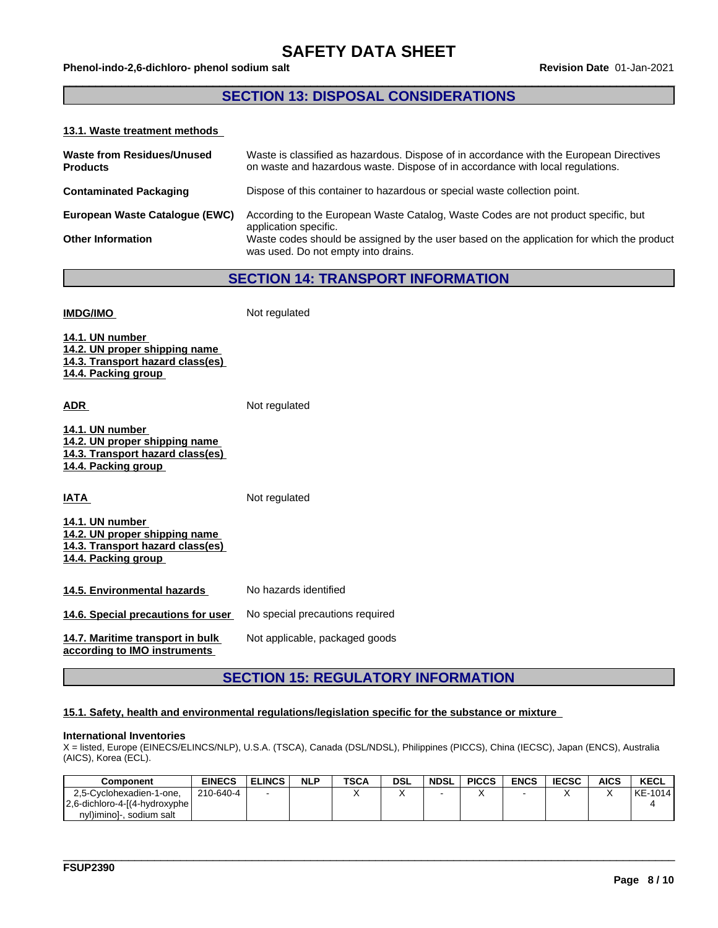### **SECTION 13: DISPOSAL CONSIDERATIONS**

#### **13.1. Waste treatment methods**

| <b>Waste from Residues/Unused</b><br><b>Products</b> | Waste is classified as hazardous. Dispose of in accordance with the European Directives<br>on waste and hazardous waste. Dispose of in accordance with local regulations. |
|------------------------------------------------------|---------------------------------------------------------------------------------------------------------------------------------------------------------------------------|
| <b>Contaminated Packaging</b>                        | Dispose of this container to hazardous or special waste collection point.                                                                                                 |
| European Waste Catalogue (EWC)                       | According to the European Waste Catalog, Waste Codes are not product specific, but<br>application specific.                                                               |
| <b>Other Information</b>                             | Waste codes should be assigned by the user based on the application for which the product<br>was used. Do not empty into drains.                                          |

**SECTION 14: TRANSPORT INFORMATION**

| <b>IMDG/IMO</b>                                                                                             | Not regulated                   |
|-------------------------------------------------------------------------------------------------------------|---------------------------------|
| 14.1. UN number<br>14.2. UN proper shipping name<br>14.3. Transport hazard class(es)<br>14.4. Packing group |                                 |
| <b>ADR</b>                                                                                                  | Not regulated                   |
| 14.1. UN number<br>14.2. UN proper shipping name<br>14.3. Transport hazard class(es)<br>14.4. Packing group |                                 |
| <b>IATA</b>                                                                                                 | Not regulated                   |
| 14.1. UN number<br>14.2. UN proper shipping name<br>14.3. Transport hazard class(es)<br>14.4. Packing group |                                 |
| 14.5. Environmental hazards                                                                                 | No hazards identified           |
| 14.6. Special precautions for user                                                                          | No special precautions required |
| 14.7. Maritime transport in bulk<br>according to IMO instruments                                            | Not applicable, packaged goods  |

## **SECTION 15: REGULATORY INFORMATION**

#### **15.1. Safety, health and environmental regulations/legislation specific for the substance or mixture**

#### **International Inventories**

X = listed, Europe (EINECS/ELINCS/NLP), U.S.A. (TSCA), Canada (DSL/NDSL), Philippines (PICCS), China (IECSC), Japan (ENCS), Australia (AICS), Korea (ECL).

| Component                      | <b>EINECS</b> | <b>ELINCS</b> | <b>NLP</b> | <b>TSCA</b> | <b>DSL</b> | <b>NDSL</b> | <b>PICCS</b> | <b>ENCS</b> | <b>IECSC</b> | <b>AICS</b> | <b>KECL</b> |
|--------------------------------|---------------|---------------|------------|-------------|------------|-------------|--------------|-------------|--------------|-------------|-------------|
| 2,5-Cyclohexadien-1-one,       | 210-640-4     |               |            |             |            |             |              |             |              |             | KE-1014     |
| 2.6-dichloro-4-[(4-hydroxyphe) |               |               |            |             |            |             |              |             |              |             |             |
| nyl)iminol-.<br>. sodium salt  |               |               |            |             |            |             |              |             |              |             |             |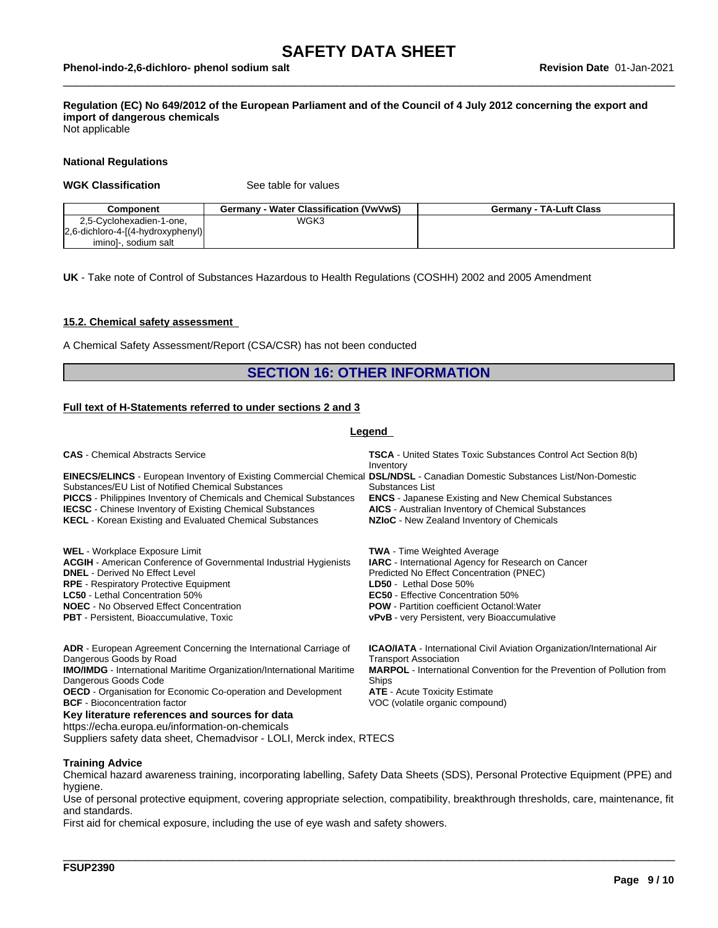## Regulation (EC) No 649/2012 of the European Parliament and of the Council of 4 July 2012 concerning the export and **import of dangerous chemicals**

Not applicable

#### **National Regulations**

#### **WGK Classification** See table for values

| Component                           | Germany - Water Classification (VwVwS) | <b>Germany - TA-Luft Class</b> |
|-------------------------------------|----------------------------------------|--------------------------------|
| 2,5-Cyclohexadien-1-one,            | WGK3                                   |                                |
| [2,6-dichloro-4-[(4-hydroxyphenyl)] |                                        |                                |
| iminol-, sodium salt                |                                        |                                |

**UK** - Take note of Control of Substances Hazardous to Health Regulations (COSHH) 2002 and 2005 Amendment

#### **15.2. Chemical safety assessment**

A Chemical Safety Assessment/Report (CSA/CSR) has not been conducted

### **SECTION 16: OTHER INFORMATION**

#### **Full text of H-Statements referred to undersections 2 and 3**

#### **Legend**

| <b>CAS</b> - Chemical Abstracts Service                                                                                                                                                                                                                                                                                                                                                                                          | <b>TSCA</b> - United States Toxic Substances Control Act Section 8(b)<br>Inventory                                                                                                                                                                                                                                      |
|----------------------------------------------------------------------------------------------------------------------------------------------------------------------------------------------------------------------------------------------------------------------------------------------------------------------------------------------------------------------------------------------------------------------------------|-------------------------------------------------------------------------------------------------------------------------------------------------------------------------------------------------------------------------------------------------------------------------------------------------------------------------|
| <b>EINECS/ELINCS</b> - European Inventory of Existing Commercial Chemical DSL/NDSL - Canadian Domestic Substances List/Non-Domestic<br>Substances/EU List of Notified Chemical Substances<br>PICCS - Philippines Inventory of Chemicals and Chemical Substances<br><b>IECSC</b> - Chinese Inventory of Existing Chemical Substances<br><b>KECL</b> - Korean Existing and Evaluated Chemical Substances                           | Substances List<br><b>ENCS</b> - Japanese Existing and New Chemical Substances<br><b>AICS</b> - Australian Inventory of Chemical Substances<br>NZIoC - New Zealand Inventory of Chemicals                                                                                                                               |
| <b>WEL</b> - Workplace Exposure Limit<br><b>ACGIH</b> - American Conference of Governmental Industrial Hygienists<br><b>DNEL</b> - Derived No Effect Level<br><b>RPE</b> - Respiratory Protective Equipment<br><b>LC50</b> - Lethal Concentration 50%<br><b>NOEC</b> - No Observed Effect Concentration<br><b>PBT</b> - Persistent, Bioaccumulative, Toxic                                                                       | <b>TWA</b> - Time Weighted Average<br><b>IARC</b> - International Agency for Research on Cancer<br>Predicted No Effect Concentration (PNEC)<br>LD50 - Lethal Dose 50%<br><b>EC50</b> - Effective Concentration 50%<br><b>POW</b> - Partition coefficient Octanol: Water<br>vPvB - very Persistent, very Bioaccumulative |
| <b>ADR</b> - European Agreement Concerning the International Carriage of<br>Dangerous Goods by Road<br><b>IMO/IMDG</b> - International Maritime Organization/International Maritime<br>Dangerous Goods Code<br><b>OECD</b> - Organisation for Economic Co-operation and Development<br><b>BCF</b> - Bioconcentration factor<br>Key literature references and sources for data<br>https://echa.europa.eu/information-on-chemicals | <b>ICAO/IATA</b> - International Civil Aviation Organization/International Air<br><b>Transport Association</b><br><b>MARPOL</b> - International Convention for the Prevention of Pollution from<br>Ships<br><b>ATE</b> - Acute Toxicity Estimate<br>VOC (volatile organic compound)                                     |

Suppliers safety data sheet, Chemadvisor - LOLI, Merck index, RTECS

#### **Training Advice**

Chemical hazard awareness training, incorporating labelling, Safety Data Sheets (SDS), Personal Protective Equipment (PPE) and hygiene.

Use of personal protective equipment, covering appropriate selection, compatibility, breakthrough thresholds, care, maintenance, fit and standards.

\_\_\_\_\_\_\_\_\_\_\_\_\_\_\_\_\_\_\_\_\_\_\_\_\_\_\_\_\_\_\_\_\_\_\_\_\_\_\_\_\_\_\_\_\_\_\_\_\_\_\_\_\_\_\_\_\_\_\_\_\_\_\_\_\_\_\_\_\_\_\_\_\_\_\_\_\_\_\_\_\_\_\_\_\_\_\_\_\_\_\_\_\_\_

First aid for chemical exposure, including the use of eye wash and safety showers.